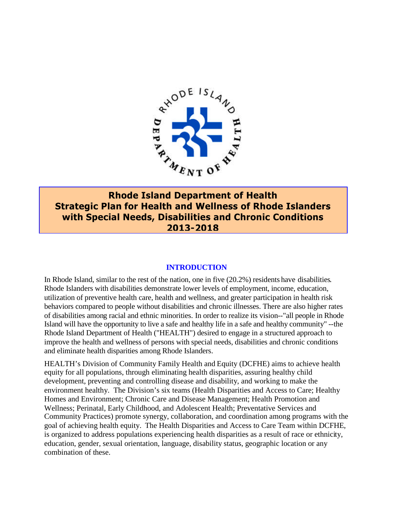

**Rhode Island Department of Health Strategic Plan for Health and Wellness of Rhode Islanders with Special Needs, Disabilities and Chronic Conditions 2013-2018**

#### **INTRODUCTION**

In Rhode Island, similar to the rest of the nation, one in five (20.2%) residents have disabilities. Rhode Islanders with disabilities demonstrate lower levels of employment, income, education, utilization of preventive health care, health and wellness, and greater participation in health risk behaviors compared to people without disabilities and chronic illnesses. There are also higher rates of disabilities among racial and ethnic minorities. In order to realize its vision--"all people in Rhode Island will have the opportunity to live a safe and healthy life in a safe and healthy community" --the Rhode Island Department of Health ("HEALTH") desired to engage in a structured approach to improve the health and wellness of persons with special needs, disabilities and chronic conditions and eliminate health disparities among Rhode Islanders.

HEALTH's Division of Community Family Health and Equity (DCFHE) aims to achieve health equity for all populations, through eliminating health disparities, assuring healthy child development, preventing and controlling disease and disability, and working to make the environment healthy. The Division's six teams (Health Disparities and Access to Care; Healthy Homes and Environment; Chronic Care and Disease Management; Health Promotion and Wellness; Perinatal, Early Childhood, and Adolescent Health; Preventative Services and Community Practices) promote synergy, collaboration, and coordination among programs with the goal of achieving health equity. The Health Disparities and Access to Care Team within DCFHE, is organized to address populations experiencing health disparities as a result of race or ethnicity, education, gender, sexual orientation, language, disability status, geographic location or any combination of these.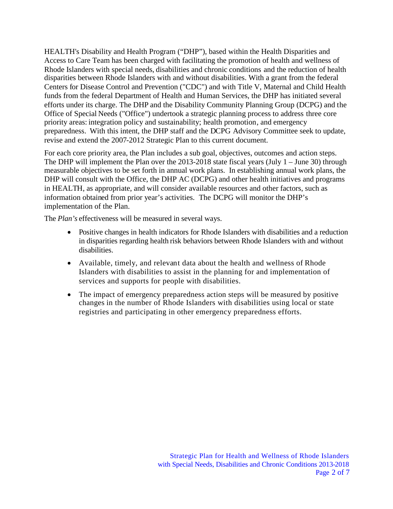HEALTH's Disability and Health Program ("DHP"), based within the Health Disparities and Access to Care Team has been charged with facilitating the promotion of health and wellness of Rhode Islanders with special needs, disabilities and chronic conditions and the reduction of health disparities between Rhode Islanders with and without disabilities. With a grant from the federal Centers for Disease Control and Prevention ("CDC") and with Title V, Maternal and Child Health funds from the federal Department of Health and Human Services, the DHP has initiated several efforts under its charge. The DHP and the Disability Community Planning Group (DCPG) and the Office of Special Needs ("Office") undertook a strategic planning process to address three core priority areas: integration policy and sustainability; health promotion, and emergency preparedness. With this intent, the DHP staff and the DCPG Advisory Committee seek to update, revise and extend the 2007-2012 Strategic Plan to this current document.

For each core priority area, the Plan includes a sub goal, objectives, outcomes and action steps. The DHP will implement the Plan over the 2013-2018 state fiscal years (July 1 – June 30) through measurable objectives to be set forth in annual work plans. In establishing annual work plans, the DHP will consult with the Office, the DHP AC (DCPG) and other health initiatives and programs in HEALTH, as appropriate, and will consider available resources and other factors, such as information obtained from prior year's activities. The DCPG will monitor the DHP's implementation of the Plan.

The *Plan's* effectiveness will be measured in several ways.

- Positive changes in health indicators for Rhode Islanders with disabilities and a reduction in disparities regarding health risk behaviors between Rhode Islanders with and without disabilities.
- Available, timely, and relevant data about the health and wellness of Rhode Islanders with disabilities to assist in the planning for and implementation of services and supports for people with disabilities.
- The impact of emergency preparedness action steps will be measured by positive changes in the number of Rhode Islanders with disabilities using local or state registries and participating in other emergency preparedness efforts.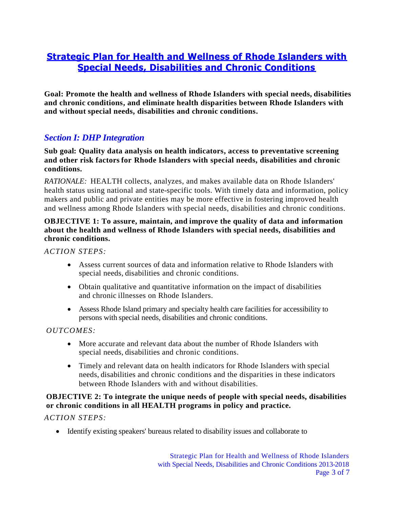# **Strategic Plan for Health and Wellness of Rhode Islanders with Special Needs, Disabilities and Chronic Conditions**

**Goal: Promote the health and wellness of Rhode Islanders with special needs, disabilities and chronic conditions, and eliminate health disparities between Rhode Islanders with and without special needs, disabilities and chronic conditions.**

## *Section I: DHP Integration*

**Sub goal: Quality data analysis on health indicators, access to preventative screening and other risk factors for Rhode Islanders with special needs, disabilities and chronic conditions.**

*RATIONALE:* HEALTH collects, analyzes, and makes available data on Rhode Islanders' health status using national and state-specific tools. With timely data and information, policy makers and public and private entities may be more effective in fostering improved health and wellness among Rhode Islanders with special needs, disabilities and chronic conditions.

## **OBJECTIVE 1: To assure, maintain, and improve the quality of data and information about the health and wellness of Rhode Islanders with special needs, disabilities and chronic conditions.**

*ACTION STEPS:*

- Assess current sources of data and information relative to Rhode Islanders with special needs, disabilities and chronic conditions.
- Obtain qualitative and quantitative information on the impact of disabilities and chronic illnesses on Rhode Islanders.
- Assess Rhode Island primary and specialty health care facilities for accessibility to persons with special needs, disabilities and chronic conditions.

## *OUTCOMES:*

- More accurate and relevant data about the number of Rhode Islanders with special needs, disabilities and chronic conditions.
- Timely and relevant data on health indicators for Rhode Islanders with special needs, disabilities and chronic conditions and the disparities in these indicators between Rhode Islanders with and without disabilities.

## **OBJECTIVE 2: To integrate the unique needs of people with special needs, disabilities or chronic conditions in all HEALTH programs in policy and practice.**

*ACTION STEPS:*

Identify existing speakers' bureaus related to disability issues and collaborate to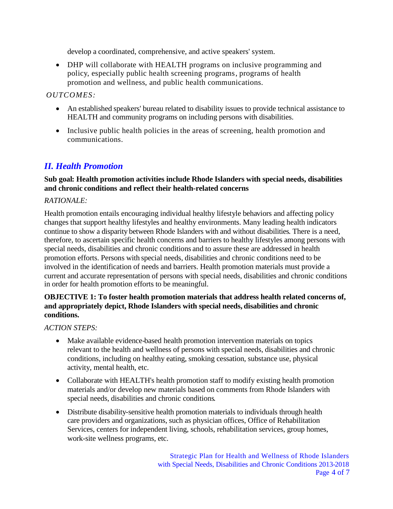develop a coordinated, comprehensive, and active speakers' system.

 DHP will collaborate with HEALTH programs on inclusive programming and policy, especially public health screening programs, programs of health promotion and wellness, and public health communications.

## *OUTCOMES:*

- An established speakers' bureau related to disability issues to provide technical assistance to HEALTH and community programs on including persons with disabilities.
- Inclusive public health policies in the areas of screening, health promotion and communications.

## *II. Health Promotion*

### **Sub goal: Health promotion activities include Rhode Islanders with special needs, disabilities and chronic conditions and reflect their health-related concerns**

#### *RATIONALE:*

Health promotion entails encouraging individual healthy lifestyle behaviors and affecting policy changes that support healthy lifestyles and healthy environments. Many leading health indicators continue to show a disparity between Rhode Islanders with and without disabilities. There is a need, therefore, to ascertain specific health concerns and barriers to healthy lifestyles among persons with special needs, disabilities and chronic conditions and to assure these are addressed in health promotion efforts. Persons with special needs, disabilities and chronic conditions need to be involved in the identification of needs and barriers. Health promotion materials must provide a current and accurate representation of persons with special needs, disabilities and chronic conditions in order for health promotion efforts to be meaningful.

## **OBJECTIVE 1: To foster health promotion materials that address health related concerns of, and appropriately depict, Rhode Islanders with special needs, disabilities and chronic conditions.**

## *ACTION STEPS:*

- Make available evidence-based health promotion intervention materials on topics relevant to the health and wellness of persons with special needs, disabilities and chronic conditions, including on healthy eating, smoking cessation, substance use, physical activity, mental health, etc.
- Collaborate with HEALTH's health promotion staff to modify existing health promotion materials and/or develop new materials based on comments from Rhode Islanders with special needs, disabilities and chronic conditions.
- Distribute disability-sensitive health promotion materials to individuals through health care providers and organizations, such as physician offices, Office of Rehabilitation Services, centers for independent living, schools, rehabilitation services, group homes, work-site wellness programs, etc.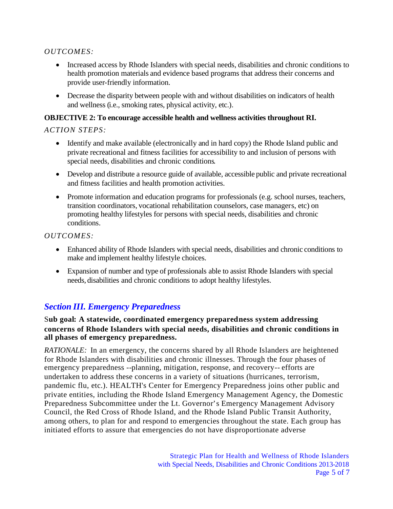## *OUTCOMES:*

- Increased access by Rhode Islanders with special needs, disabilities and chronic conditions to health promotion materials and evidence based programs that address their concerns and provide user-friendly information.
- Decrease the disparity between people with and without disabilities on indicators of health and wellness (i.e., smoking rates, physical activity, etc.).

### **OBJECTIVE 2: To encourage accessible health and wellness activities throughout RI.**

## *ACTION STEPS:*

- Identify and make available (electronically and in hard copy) the Rhode Island public and private recreational and fitness facilities for accessibility to and inclusion of persons with special needs, disabilities and chronic conditions.
- Develop and distribute a resource guide of available, accessible public and private recreational and fitness facilities and health promotion activities.
- Promote information and education programs for professionals (e.g. school nurses, teachers, transition coordinators, vocational rehabilitation counselors, case managers, etc) on promoting healthy lifestyles for persons with special needs, disabilities and chronic conditions.

## *OUTCOMES:*

- Enhanced ability of Rhode Islanders with special needs, disabilities and chronic conditions to make and implement healthy lifestyle choices.
- Expansion of number and type of professionals able to assist Rhode Islanders with special needs, disabilities and chronic conditions to adopt healthy lifestyles.

## *Section III. Emergency Preparedness*

S**ub goal: A statewide, coordinated emergency preparedness system addressing concerns of Rhode Islanders with special needs, disabilities and chronic conditions in all phases of emergency preparedness.**

*RATIONALE:* In an emergency, the concerns shared by all Rhode Islanders are heightened for Rhode Islanders with disabilities and chronic illnesses. Through the four phases of emergency preparedness --planning, mitigation, response, and recovery-- efforts are undertaken to address these concerns in a variety of situations (hurricanes, terrorism, pandemic flu, etc.). HEALTH's Center for Emergency Preparedness joins other public and private entities, including the Rhode Island Emergency Management Agency, the Domestic Preparedness Subcommittee under the Lt. Governor's Emergency Management Advisory Council, the Red Cross of Rhode Island, and the Rhode Island Public Transit Authority, among others, to plan for and respond to emergencies throughout the state. Each group has initiated efforts to assure that emergencies do not have disproportionate adverse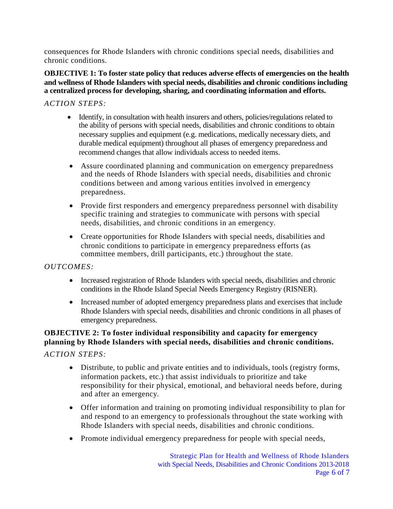consequences for Rhode Islanders with chronic conditions special needs, disabilities and chronic conditions.

#### **OBJECTIVE 1: To foster state policy that reduces adverse effects of emergencies on the health and wellness of Rhode Islanders with special needs, disabilities and chronic conditions including a centralized process for developing, sharing, and coordinating information and efforts.**

## *ACTION STEPS:*

- Identify, in consultation with health insurers and others, policies/regulations related to the ability of persons with special needs, disabilities and chronic conditions to obtain necessary supplies and equipment (e.g. medications, medically necessary diets, and durable medical equipment) throughout all phases of emergency preparedness and recommend changes that allow individuals access to needed items.
- Assure coordinated planning and communication on emergency preparedness and the needs of Rhode Islanders with special needs, disabilities and chronic conditions between and among various entities involved in emergency preparedness.
- Provide first responders and emergency preparedness personnel with disability specific training and strategies to communicate with persons with special needs, disabilities, and chronic conditions in an emergency.
- Create opportunities for Rhode Islanders with special needs, disabilities and chronic conditions to participate in emergency preparedness efforts (as committee members, drill participants, etc.) throughout the state.

## *OUTCOMES:*

- Increased registration of Rhode Islanders with special needs, disabilities and chronic conditions in the Rhode Island Special Needs Emergency Registry (RISNER).
- Increased number of adopted emergency preparedness plans and exercises that include Rhode Islanders with special needs, disabilities and chronic conditions in all phases of emergency preparedness.

## **OBJECTIVE 2: To foster individual responsibility and capacity for emergency planning by Rhode Islanders with special needs, disabilities and chronic conditions.**

*ACTION STEPS:*

- Distribute, to public and private entities and to individuals, tools (registry forms, information packets, etc.) that assist individuals to prioritize and take responsibility for their physical, emotional, and behavioral needs before, during and after an emergency.
- Offer information and training on promoting individual responsibility to plan for and respond to an emergency to professionals throughout the state working with Rhode Islanders with special needs, disabilities and chronic conditions.
- Promote individual emergency preparedness for people with special needs,